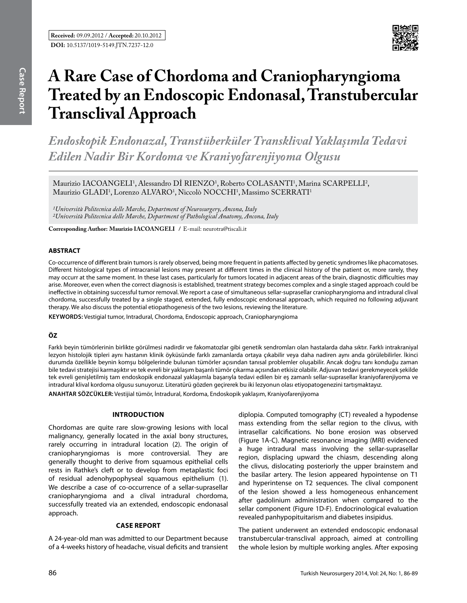

# **A Rare Case of Chordoma and Craniopharyngioma Treated by an Endoscopic Endonasal, Transtubercular Transclival Approach**

*Endoskopik Endonazal, Transtüberküler Transklival Yaklaşımla Tedavi Edilen Nadir Bir Kordoma ve Kraniyofarenjiyoma Olgusu*

Maurizio IACOANGELI<sup>1</sup>, Alessandro DI RIENZO<sup>1</sup>, Roberto COLASANTI<sup>1</sup>, Marina SCARPELLI<sup>2</sup>, Maurizio GLADI<sup>1</sup>, Lorenzo ALVARO<sup>1</sup>, Niccolò NOCCHI<sup>1</sup>, Massimo SCERRATI<sup>1</sup>

*1Università Politecnica delle Marche, Department of Neurosurgery, Ancona, Italy 2Università Politecnica delle Marche, Department of Pathological Anatomy, Ancona, Italy*

**Corresponding Author: Maurizio Iacoangelı /** E-mail: neurotra@tiscali.it

# **ABSTRACT**

Co-occurrence of different brain tumors is rarely observed, being more frequent in patients affected by genetic syndromes like phacomatoses. Different histological types of intracranial lesions may present at different times in the clinical history of the patient or, more rarely, they may occurr at the same moment. In these last cases, particularly for tumors located in adjacent areas of the brain, diagnostic difficulties may arise. Moreover, even when the correct diagnosis is established, treatment strategy becomes complex and a single staged approach could be ineffective in obtaining successful tumor removal. We report a case of simultaneous sellar-suprasellar craniopharyngioma and intradural clival chordoma, successfully treated by a single staged, extended, fully endoscopic endonasal approach, which required no following adjuvant therapy. We also discuss the potential etiopathogenesis of the two lesions, reviewing the literature.

**Keywords:** Vestigial tumor, Intradural, Chordoma, Endoscopic approach, Craniopharyngioma

# **ÖZ**

Farklı beyin tümörlerinin birlikte görülmesi nadirdir ve fakomatozlar gibi genetik sendromları olan hastalarda daha sıktır. Farklı intrakraniyal lezyon histolojik tipleri aynı hastanın klinik öyküsünde farklı zamanlarda ortaya çıkabilir veya daha nadiren aynı anda görülebilirler. İkinci durumda özellikle beynin komşu bölgelerinde bulunan tümörler açısından tanısal problemler oluşabilir. Ancak doğru tanı konduğu zaman bile tedavi stratejisi karmaşıktır ve tek evreli bir yaklaşım başarılı tümör çıkarma açısından etkisiz olabilir. Adjuvan tedavi gerekmeyecek şekilde tek evreli genişletilmiş tam endoskopik endonazal yaklaşımla başarıyla tedavi edilen bir eş zamanlı sellar-suprasellar kraniyofarenjiyoma ve intradural klival kordoma olgusu sunuyoruz. Literatürü gözden geçirerek bu iki lezyonun olası etiyopatogenezini tartışmaktayız.

**ANAHTAR SÖZCÜKLER:** Vestijial tümör, İntradural, Kordoma, Endoskopik yaklaşım, Kraniyofarenjiyoma

#### **Introduction**

Chordomas are quite rare slow-growing lesions with local malignancy, generally located in the axial bony structures, rarely occurring in intradural location (2). The origin of craniopharyngiomas is more controversial. They are generally thought to derive from squamous epithelial cells rests in Rathke's cleft or to develop from metaplastic foci of residual adenohypophyseal squamous epithelium (1). We describe a case of co-occurrence of a sellar-suprasellar craniopharyngioma and a clival intradural chordoma, successfully treated via an extended, endoscopic endonasal approach.

## **Case report**

A 24-year-old man was admitted to our Department because of a 4-weeks history of headache, visual deficits and transient diplopia. Computed tomography (CT) revealed a hypodense mass extending from the sellar region to the clivus, with intrasellar calcifications. No bone erosion was observed (Figure 1A-C). Magnetic resonance imaging (MRI) evidenced a huge intradural mass involving the sellar-suprasellar region, displacing upward the chiasm, descending along the clivus, dislocating posteriorly the upper brainstem and the basilar artery. The lesion appeared hypointense on T1 and hyperintense on T2 sequences. The clival component of the lesion showed a less homogeneous enhancement after gadolinium administration when compared to the sellar component (Figure 1D-F). Endocrinological evaluation revealed panhypopituitarism and diabetes insipidus.

The patient underwent an extended endoscopic endonasal transtubercular-transclival approach, aimed at controlling the whole lesion by multiple working angles. After exposing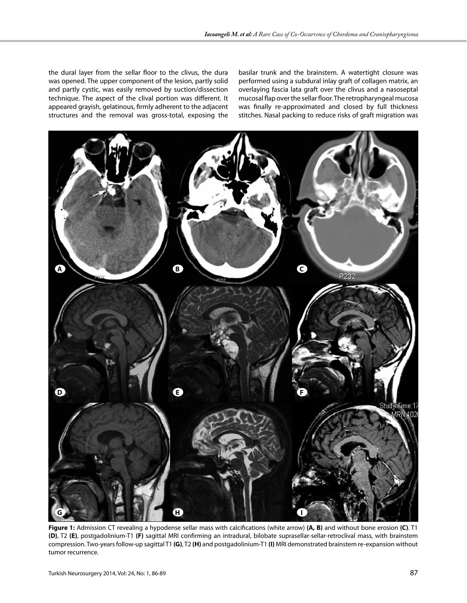the dural layer from the sellar floor to the clivus, the dura was opened. The upper component of the lesion, partly solid and partly cystic, was easily removed by suction/dissection technique. The aspect of the clival portion was different. It appeared grayish, gelatinous, firmly adherent to the adjacent structures and the removal was gross-total, exposing the

basilar trunk and the brainstem. A watertight closure was performed using a subdural inlay graft of collagen matrix, an overlaying fascia lata graft over the clivus and a nasoseptal mucosal flap over the sellar floor. The retropharyngeal mucosa was finally re-approximated and closed by full thickness stitches. Nasal packing to reduce risks of graft migration was



**Figure 1:** Admission CT revealing a hypodense sellar mass with calcifications (white arrow) **(A, B)** and without bone erosion **(C)**. T1 **(D)**, T2 **(E)**, postgadolinium-T1 **(F)** sagittal MRI confirming an intradural, bilobate suprasellar-sellar-retroclival mass, with brainstem compression. Two-years follow-up sagittal T1 **(G)**, T2 **(H)** and postgadolinium-T1 **(I)** MRI demonstrated brainstem re-expansion without tumor recurrence.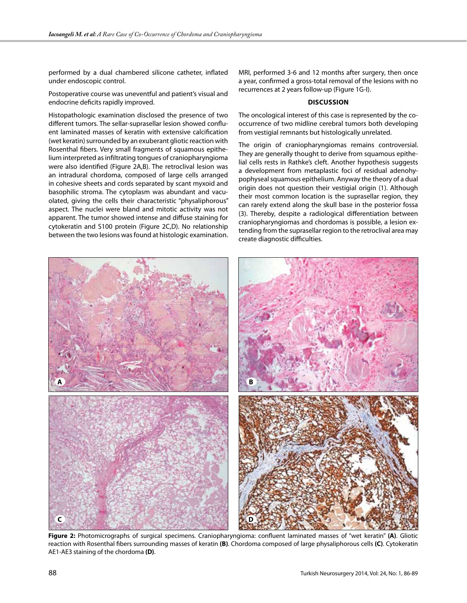performed by a dual chambered silicone catheter, inflated under endoscopic control.

Postoperative course was uneventful and patient's visual and endocrine deficits rapidly improved.

Histopathologic examination disclosed the presence of two different tumors. The sellar-suprasellar lesion showed confluent laminated masses of keratin with extensive calcification (wet keratin) surrounded by an exuberant gliotic reaction with Rosenthal fibers. Very small fragments of squamous epithelium interpreted as infiltrating tongues of craniopharyngioma were also identified (Figure 2A,B). The retroclival lesion was an intradural chordoma, composed of large cells arranged in cohesive sheets and cords separated by scant myxoid and basophilic stroma. The cytoplasm was abundant and vacuolated, giving the cells their characteristic "physaliphorous" aspect. The nuclei were bland and mitotic activity was not apparent. The tumor showed intense and diffuse staining for cytokeratin and S100 protein (Figure 2C,D). No relationship between the two lesions was found at histologic examination. MRI, performed 3-6 and 12 months after surgery, then once a year, confirmed a gross-total removal of the lesions with no recurrences at 2 years follow-up (Figure 1G-I).

## **Discussion**

The oncological interest of this case is represented by the cooccurrence of two midline cerebral tumors both developing from vestigial remnants but histologically unrelated.

The origin of craniopharyngiomas remains controversial. They are generally thought to derive from squamous epithelial cells rests in Rathke's cleft. Another hypothesis suggests a development from metaplastic foci of residual adenohypophyseal squamous epithelium. Anyway the theory of a dual origin does not question their vestigial origin (1). Although their most common location is the suprasellar region, they can rarely extend along the skull base in the posterior fossa (3). Thereby, despite a radiological differentiation between craniopharyngiomas and chordomas is possible, a lesion extending from the suprasellar region to the retroclival area may create diagnostic difficulties.



**Figure 2:** Photomicrographs of surgical specimens. Craniopharyngioma: confluent laminated masses of "wet keratin" **(A)**. Gliotic reaction with Rosenthal fibers surrounding masses of keratin **(B)**. Chordoma composed of large physaliphorous cells **(C)**. Cytokeratin AE1-AE3 staining of the chordoma **(D)**.